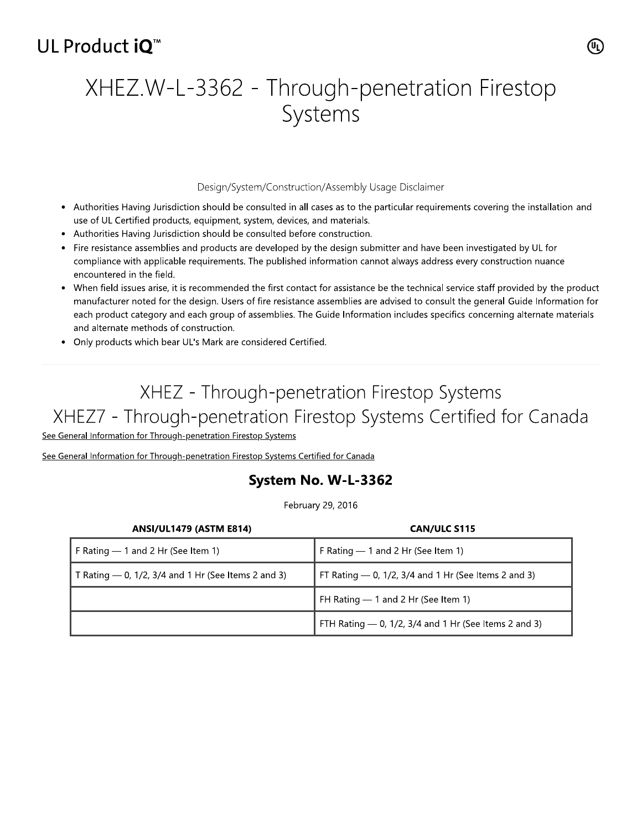## UL Product iO<sup>™</sup>

# XHEZ.W-L-3362 - Through-penetration Firestop Systems

### Design/System/Construction/Assembly Usage Disclaimer

- Authorities Having Jurisdiction should be consulted in all cases as to the particular requirements covering the installation and use of UL Certified products, equipment, system, devices, and materials.
- Authorities Having Jurisdiction should be consulted before construction.
- Fire resistance assemblies and products are developed by the design submitter and have been investigated by UL for compliance with applicable requirements. The published information cannot always address every construction nuance encountered in the field.
- When field issues arise, it is recommended the first contact for assistance be the technical service staff provided by the product manufacturer noted for the design. Users of fire resistance assemblies are advised to consult the general Guide Information for each product category and each group of assemblies. The Guide Information includes specifics concerning alternate materials and alternate methods of construction.
- Only products which bear UL's Mark are considered Certified.

# XHEZ - Through-penetration Firestop Systems XHEZ7 - Through-penetration Firestop Systems Certified for Canada

See General Information for Through-penetration Firestop Systems

See General Information for Through-penetration Firestop Systems Certified for Canada

## System No. W-L-3362

February 29, 2016

| <b>ANSI/UL1479 (ASTM E814)</b>                        | <b>CAN/ULC S115</b>                                     |
|-------------------------------------------------------|---------------------------------------------------------|
| F Rating $-1$ and 2 Hr (See Item 1)                   | F Rating - 1 and 2 Hr (See Item 1)                      |
| T Rating $-$ 0, 1/2, 3/4 and 1 Hr (See Items 2 and 3) | FT Rating $-$ 0, 1/2, 3/4 and 1 Hr (See Items 2 and 3)  |
|                                                       | FH Rating - 1 and 2 Hr (See Item 1)                     |
|                                                       | FTH Rating $-$ 0, 1/2, 3/4 and 1 Hr (See Items 2 and 3) |

(ሢ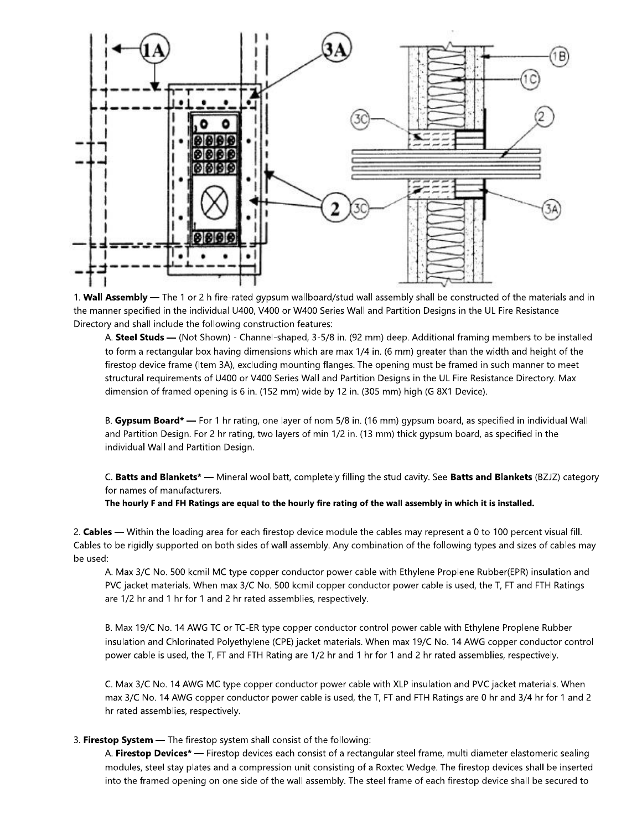

1. Wall Assembly - The 1 or 2 h fire-rated gypsum wallboard/stud wall assembly shall be constructed of the materials and in the manner specified in the individual U400, V400 or W400 Series Wall and Partition Designs in the UL Fire Resistance Directory and shall include the following construction features:

A. Steel Studs — (Not Shown) - Channel-shaped, 3-5/8 in. (92 mm) deep. Additional framing members to be installed to form a rectangular box having dimensions which are max 1/4 in. (6 mm) greater than the width and height of the firestop device frame (Item 3A), excluding mounting flanges. The opening must be framed in such manner to meet structural requirements of U400 or V400 Series Wall and Partition Designs in the UL Fire Resistance Directory. Max dimension of framed opening is 6 in. (152 mm) wide by 12 in. (305 mm) high (G 8X1 Device).

B. Gypsum Board\* — For 1 hr rating, one layer of nom 5/8 in. (16 mm) gypsum board, as specified in individual Wall and Partition Design. For 2 hr rating, two layers of min 1/2 in. (13 mm) thick gypsum board, as specified in the individual Wall and Partition Design.

C. Batts and Blankets\* — Mineral wool batt, completely filling the stud cavity. See Batts and Blankets (BZJZ) category for names of manufacturers.

The hourly F and FH Ratings are equal to the hourly fire rating of the wall assembly in which it is installed.

2. Cables — Within the loading area for each firestop device module the cables may represent a 0 to 100 percent visual fill. Cables to be rigidly supported on both sides of wall assembly. Any combination of the following types and sizes of cables may be used:

A. Max 3/C No. 500 kcmil MC type copper conductor power cable with Ethylene Proplene Rubber(EPR) insulation and PVC jacket materials. When max 3/C No. 500 kcmil copper conductor power cable is used, the T, FT and FTH Ratings are 1/2 hr and 1 hr for 1 and 2 hr rated assemblies, respectively.

B. Max 19/C No. 14 AWG TC or TC-ER type copper conductor control power cable with Ethylene Proplene Rubber insulation and Chlorinated Polyethylene (CPE) jacket materials. When max 19/C No. 14 AWG copper conductor control power cable is used, the T, FT and FTH Rating are 1/2 hr and 1 hr for 1 and 2 hr rated assemblies, respectively.

C. Max 3/C No. 14 AWG MC type copper conductor power cable with XLP insulation and PVC jacket materials. When max 3/C No. 14 AWG copper conductor power cable is used, the T, FT and FTH Ratings are 0 hr and 3/4 hr for 1 and 2 hr rated assemblies, respectively.

#### 3. Firestop System - The firestop system shall consist of the following:

A. Firestop Devices\* — Firestop devices each consist of a rectangular steel frame, multi diameter elastomeric sealing modules, steel stay plates and a compression unit consisting of a Roxtec Wedge. The firestop devices shall be inserted into the framed opening on one side of the wall assembly. The steel frame of each firestop device shall be secured to